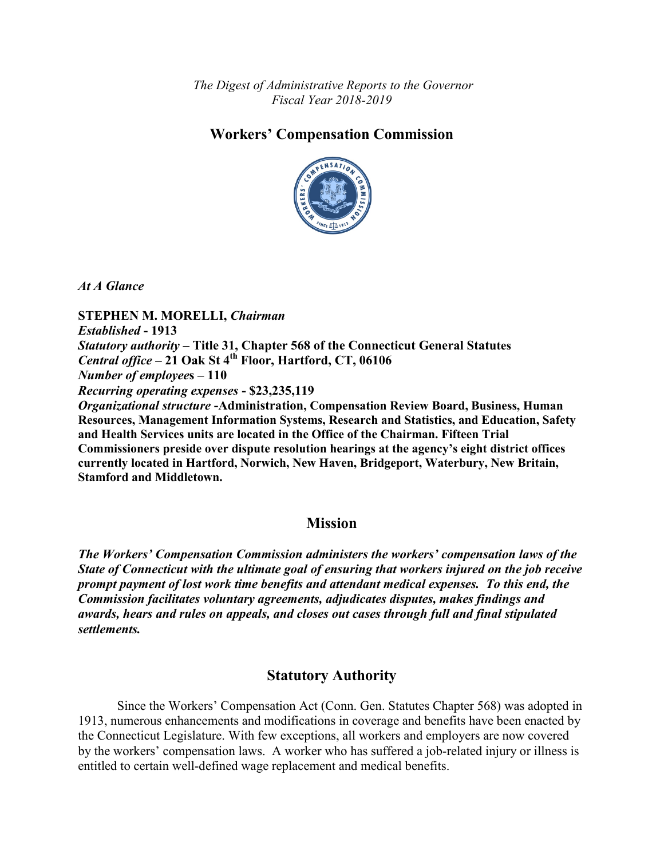*The Digest of Administrative Reports to the Governor Fiscal Year 2018-2019*

# **Workers' Compensation Commission**



*At A Glance*

**STEPHEN M. MORELLI,** *Chairman Established* **- 1913** *Statutory authority* **– Title 31, Chapter 568 of the Connecticut General Statutes**  *Central office* **– 21 Oak St 4th Floor, Hartford, CT, 06106** *Number of employee***s – 110** *Recurring operating expenses* **- \$23,235,119** *Organizational structure* **-Administration, Compensation Review Board, Business, Human Resources, Management Information Systems, Research and Statistics, and Education, Safety and Health Services units are located in the Office of the Chairman. Fifteen Trial Commissioners preside over dispute resolution hearings at the agency's eight district offices currently located in Hartford, Norwich, New Haven, Bridgeport, Waterbury, New Britain, Stamford and Middletown.**

### **Mission**

*The Workers' Compensation Commission administers the workers' compensation laws of the State of Connecticut with the ultimate goal of ensuring that workers injured on the job receive prompt payment of lost work time benefits and attendant medical expenses. To this end, the Commission facilitates voluntary agreements, adjudicates disputes, makes findings and awards, hears and rules on appeals, and closes out cases through full and final stipulated settlements.*

# **Statutory Authority**

Since the Workers' Compensation Act (Conn. Gen. Statutes Chapter 568) was adopted in 1913, numerous enhancements and modifications in coverage and benefits have been enacted by the Connecticut Legislature. With few exceptions, all workers and employers are now covered by the workers' compensation laws. A worker who has suffered a job-related injury or illness is entitled to certain well-defined wage replacement and medical benefits.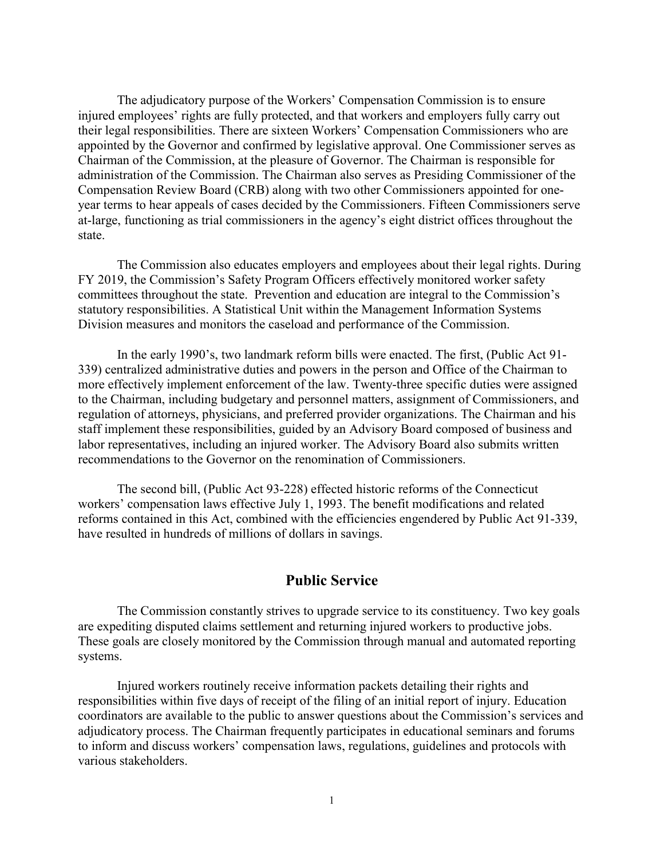The adjudicatory purpose of the Workers' Compensation Commission is to ensure injured employees' rights are fully protected, and that workers and employers fully carry out their legal responsibilities. There are sixteen Workers' Compensation Commissioners who are appointed by the Governor and confirmed by legislative approval. One Commissioner serves as Chairman of the Commission, at the pleasure of Governor. The Chairman is responsible for administration of the Commission. The Chairman also serves as Presiding Commissioner of the Compensation Review Board (CRB) along with two other Commissioners appointed for oneyear terms to hear appeals of cases decided by the Commissioners. Fifteen Commissioners serve at-large, functioning as trial commissioners in the agency's eight district offices throughout the state.

The Commission also educates employers and employees about their legal rights. During FY 2019, the Commission's Safety Program Officers effectively monitored worker safety committees throughout the state. Prevention and education are integral to the Commission's statutory responsibilities. A Statistical Unit within the Management Information Systems Division measures and monitors the caseload and performance of the Commission.

In the early 1990's, two landmark reform bills were enacted. The first, (Public Act 91- 339) centralized administrative duties and powers in the person and Office of the Chairman to more effectively implement enforcement of the law. Twenty-three specific duties were assigned to the Chairman, including budgetary and personnel matters, assignment of Commissioners, and regulation of attorneys, physicians, and preferred provider organizations. The Chairman and his staff implement these responsibilities, guided by an Advisory Board composed of business and labor representatives, including an injured worker. The Advisory Board also submits written recommendations to the Governor on the renomination of Commissioners.

The second bill, (Public Act 93-228) effected historic reforms of the Connecticut workers' compensation laws effective July 1, 1993. The benefit modifications and related reforms contained in this Act, combined with the efficiencies engendered by Public Act 91-339, have resulted in hundreds of millions of dollars in savings.

#### **Public Service**

The Commission constantly strives to upgrade service to its constituency. Two key goals are expediting disputed claims settlement and returning injured workers to productive jobs. These goals are closely monitored by the Commission through manual and automated reporting systems.

Injured workers routinely receive information packets detailing their rights and responsibilities within five days of receipt of the filing of an initial report of injury. Education coordinators are available to the public to answer questions about the Commission's services and adjudicatory process. The Chairman frequently participates in educational seminars and forums to inform and discuss workers' compensation laws, regulations, guidelines and protocols with various stakeholders.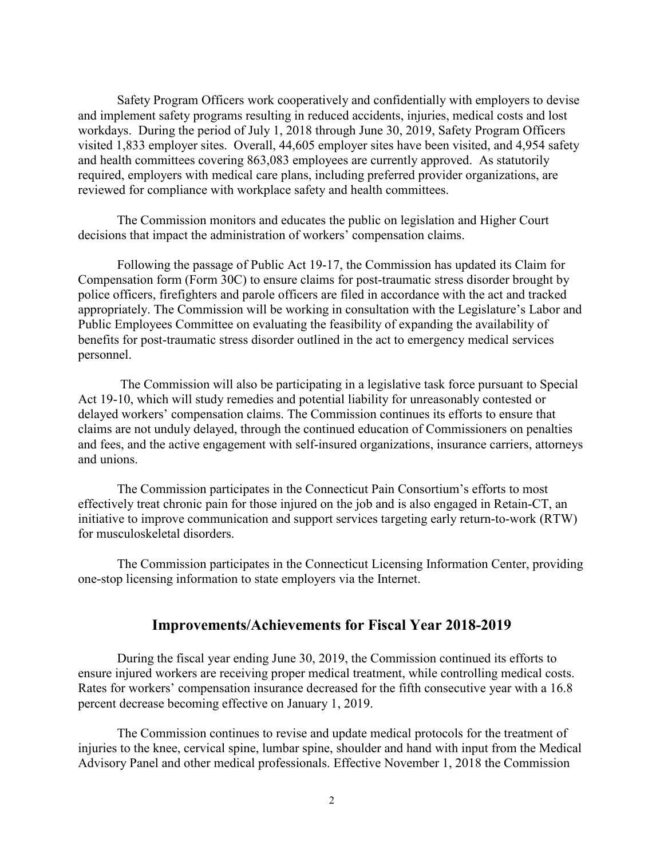Safety Program Officers work cooperatively and confidentially with employers to devise and implement safety programs resulting in reduced accidents, injuries, medical costs and lost workdays. During the period of July 1, 2018 through June 30, 2019, Safety Program Officers visited 1,833 employer sites. Overall, 44,605 employer sites have been visited, and 4,954 safety and health committees covering 863,083 employees are currently approved. As statutorily required, employers with medical care plans, including preferred provider organizations, are reviewed for compliance with workplace safety and health committees.

The Commission monitors and educates the public on legislation and Higher Court decisions that impact the administration of workers' compensation claims.

Following the passage of Public Act 19-17, the Commission has updated its Claim for Compensation form (Form 30C) to ensure claims for post-traumatic stress disorder brought by police officers, firefighters and parole officers are filed in accordance with the act and tracked appropriately. The Commission will be working in consultation with the Legislature's Labor and Public Employees Committee on evaluating the feasibility of expanding the availability of benefits for post-traumatic stress disorder outlined in the act to emergency medical services personnel.

The Commission will also be participating in a legislative task force pursuant to Special Act 19-10, which will study remedies and potential liability for unreasonably contested or delayed workers' compensation claims. The Commission continues its efforts to ensure that claims are not unduly delayed, through the continued education of Commissioners on penalties and fees, and the active engagement with self-insured organizations, insurance carriers, attorneys and unions.

The Commission participates in the Connecticut Pain Consortium's efforts to most effectively treat chronic pain for those injured on the job and is also engaged in Retain-CT, an initiative to improve communication and support services targeting early return-to-work (RTW) for musculoskeletal disorders.

The Commission participates in the Connecticut Licensing Information Center, providing one-stop licensing information to state employers via the Internet.

#### **Improvements/Achievements for Fiscal Year 2018-2019**

During the fiscal year ending June 30, 2019, the Commission continued its efforts to ensure injured workers are receiving proper medical treatment, while controlling medical costs. Rates for workers' compensation insurance decreased for the fifth consecutive year with a 16.8 percent decrease becoming effective on January 1, 2019.

The Commission continues to revise and update medical protocols for the treatment of injuries to the knee, cervical spine, lumbar spine, shoulder and hand with input from the Medical Advisory Panel and other medical professionals. Effective November 1, 2018 the Commission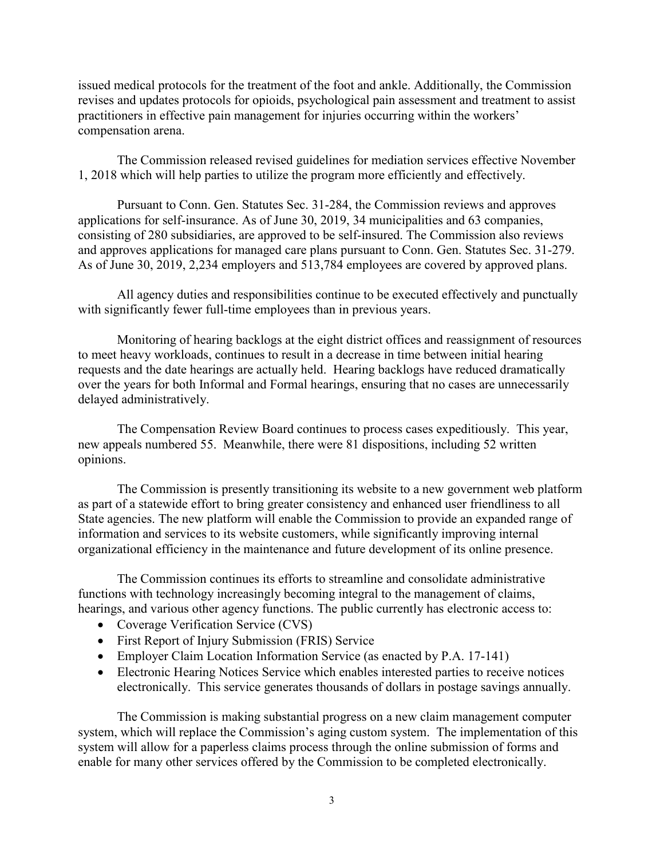issued medical protocols for the treatment of the foot and ankle. Additionally, the Commission revises and updates protocols for opioids, psychological pain assessment and treatment to assist practitioners in effective pain management for injuries occurring within the workers' compensation arena.

The Commission released revised guidelines for mediation services effective November 1, 2018 which will help parties to utilize the program more efficiently and effectively.

Pursuant to Conn. Gen. Statutes Sec. 31-284, the Commission reviews and approves applications for self-insurance. As of June 30, 2019, 34 municipalities and 63 companies, consisting of 280 subsidiaries, are approved to be self-insured. The Commission also reviews and approves applications for managed care plans pursuant to Conn. Gen. Statutes Sec. 31-279. As of June 30, 2019, 2,234 employers and 513,784 employees are covered by approved plans.

All agency duties and responsibilities continue to be executed effectively and punctually with significantly fewer full-time employees than in previous years.

Monitoring of hearing backlogs at the eight district offices and reassignment of resources to meet heavy workloads, continues to result in a decrease in time between initial hearing requests and the date hearings are actually held. Hearing backlogs have reduced dramatically over the years for both Informal and Formal hearings, ensuring that no cases are unnecessarily delayed administratively.

The Compensation Review Board continues to process cases expeditiously. This year, new appeals numbered 55. Meanwhile, there were 81 dispositions, including 52 written opinions.

The Commission is presently transitioning its website to a new government web platform as part of a statewide effort to bring greater consistency and enhanced user friendliness to all State agencies. The new platform will enable the Commission to provide an expanded range of information and services to its website customers, while significantly improving internal organizational efficiency in the maintenance and future development of its online presence.

The Commission continues its efforts to streamline and consolidate administrative functions with technology increasingly becoming integral to the management of claims, hearings, and various other agency functions. The public currently has electronic access to:

- Coverage Verification Service (CVS)
- First Report of Injury Submission (FRIS) Service
- Employer Claim Location Information Service (as enacted by P.A. 17-141)
- Electronic Hearing Notices Service which enables interested parties to receive notices electronically. This service generates thousands of dollars in postage savings annually.

The Commission is making substantial progress on a new claim management computer system, which will replace the Commission's aging custom system. The implementation of this system will allow for a paperless claims process through the online submission of forms and enable for many other services offered by the Commission to be completed electronically.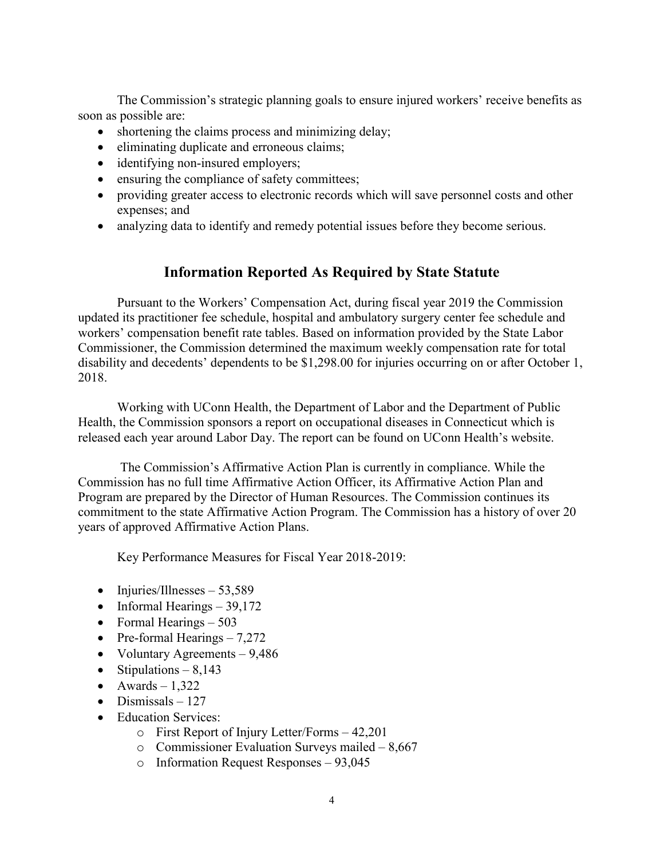The Commission's strategic planning goals to ensure injured workers' receive benefits as soon as possible are:

- shortening the claims process and minimizing delay;
- eliminating duplicate and erroneous claims;
- identifying non-insured employers;
- ensuring the compliance of safety committees;
- providing greater access to electronic records which will save personnel costs and other expenses; and
- analyzing data to identify and remedy potential issues before they become serious.

### **Information Reported As Required by State Statute**

Pursuant to the Workers' Compensation Act, during fiscal year 2019 the Commission updated its practitioner fee schedule, hospital and ambulatory surgery center fee schedule and workers' compensation benefit rate tables. Based on information provided by the State Labor Commissioner, the Commission determined the maximum weekly compensation rate for total disability and decedents' dependents to be \$1,298.00 for injuries occurring on or after October 1, 2018.

Working with UConn Health, the Department of Labor and the Department of Public Health, the Commission sponsors a report on occupational diseases in Connecticut which is released each year around Labor Day. The report can be found on UConn Health's website.

The Commission's Affirmative Action Plan is currently in compliance. While the Commission has no full time Affirmative Action Officer, its Affirmative Action Plan and Program are prepared by the Director of Human Resources. The Commission continues its commitment to the state Affirmative Action Program. The Commission has a history of over 20 years of approved Affirmative Action Plans.

Key Performance Measures for Fiscal Year 2018-2019:

- Injuries/Illnesses  $53,589$
- Informal Hearings  $-39,172$
- Formal Hearings  $-503$
- Pre-formal Hearings  $-7,272$
- Voluntary Agreements 9,486
- Stipulations  $-8,143$
- Awards  $-1,322$
- Dismissals  $-127$
- Education Services:
	- o First Report of Injury Letter/Forms 42,201
	- o Commissioner Evaluation Surveys mailed 8,667
	- o Information Request Responses 93,045